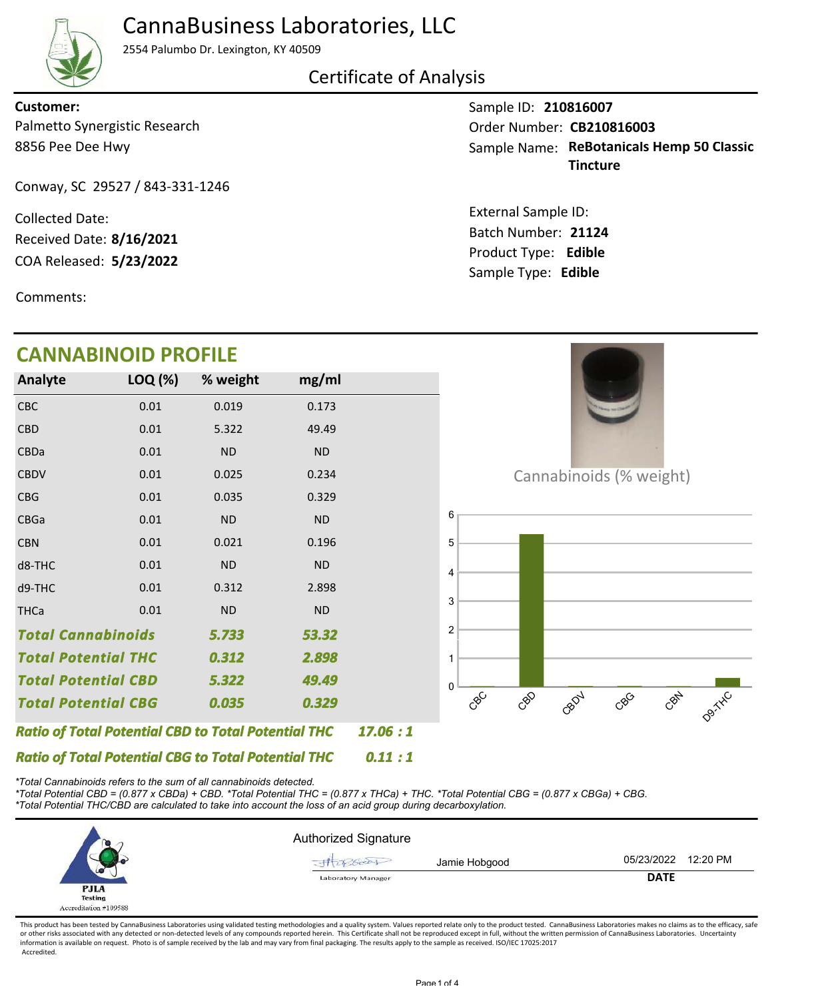

## CannaBusiness Laboratories, LLC

2554 Palumbo Dr. Lexington, KY 40509

Certificate of Analysis

#### 8856 Pee Dee Hwy Palmetto Synergistic Research **Customer:**

Conway, SC 29527 / 843-331-1246

COA Released: Collected Date: Received Date: **8/16/2021**

Comments:

Sample ID: **210816007** Sample Name: ReBotanicals Hemp 50 Classic **Tincture** Order Number: CB210816003

Product Type: **Edible 5/23/2022 21124** Batch Number: External Sample ID: Sample Type: **Edible**



*\*Total Cannabinoids refers to the sum of all cannabinoids detected.*

*\*Total Potential CBD = (0.877 x CBDa) + CBD. \*Total Potential THC = (0.877 x THCa) + THC. \*Total Potential CBG = (0.877 x CBGa) + CBG. \*Total Potential THC/CBD are calculated to take into account the loss of an acid group during decarboxylation.*



This product has been tested by CannaBusiness Laboratories using validated testing methodologies and a quality system. Values reported relate only to the product tested. CannaBusiness Laboratories makes no claims as to the or other risks associated with any detected or non-detected levels of any compounds reported herein. This Certificate shall not be reproduced except in full, without the written permission of CannaBusiness Laboratories. Un information is available on request. Photo is of sample received by the lab and may vary from final packaging. The results apply to the sample as received. ISO/IEC 17025:2017 Accredited.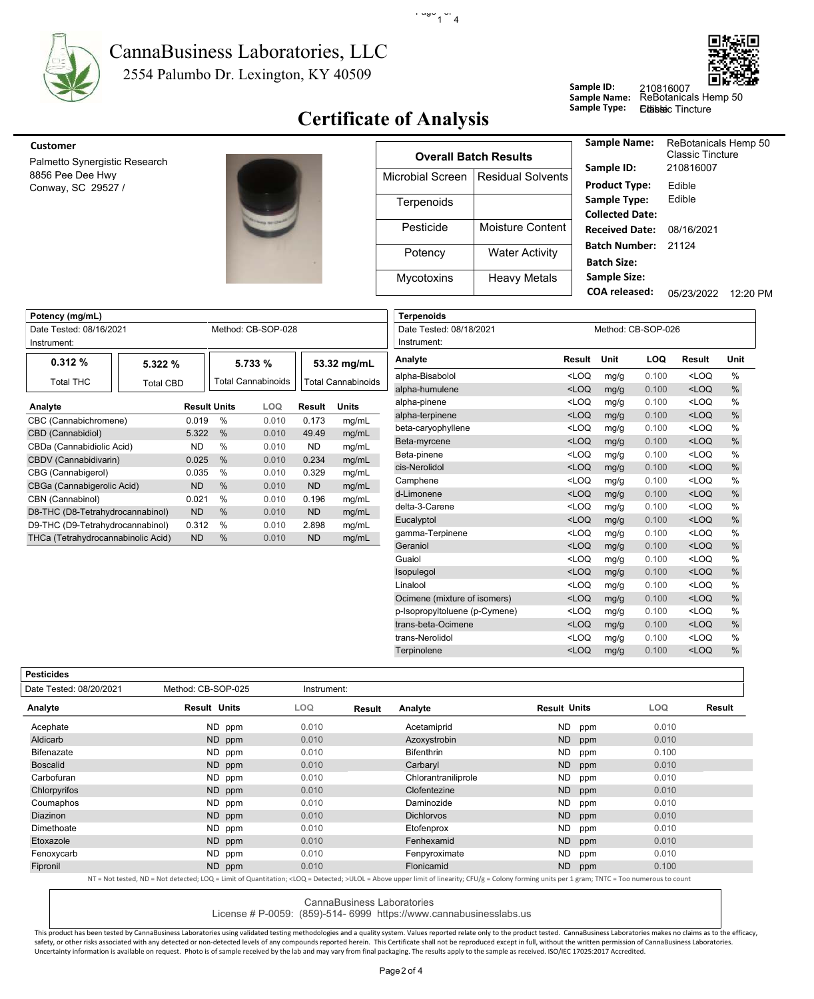

### 2554 Palumbo Dr. Lexington, KY 40509 CannaBusiness Laboratories, LLC



**Edibleic Tincture** 

## **Certificate of Analysis**

 $\cdot$   $\frac{1000}{1}$  4

| <b>Customer</b>                        |                  |                              | <b>Sample Name:</b>                       | ReBotanicals Hemp 50                 |          |
|----------------------------------------|------------------|------------------------------|-------------------------------------------|--------------------------------------|----------|
| Palmetto Synergistic Research          |                  | <b>Overall Batch Results</b> | Sample ID:                                | <b>Classic Tincture</b><br>210816007 |          |
| 8856 Pee Dee Hwy<br>Conway, SC 29527 / | Microbial Screen | Residual Solvents            | <b>Product Type:</b>                      | Edible                               |          |
|                                        | Terpenoids       |                              | Sample Type:<br><b>Collected Date:</b>    | Edible                               |          |
|                                        | Pesticide        | Moisture Content             | <b>Received Date:</b>                     | 08/16/2021                           |          |
|                                        | Potency          | <b>Water Activity</b>        | Batch Number: 21124<br><b>Batch Size:</b> |                                      |          |
|                                        | Mycotoxins       | <b>Heavy Metals</b>          | <b>Sample Size:</b>                       |                                      |          |
|                                        |                  |                              | <b>COA</b> released:                      | 05/23/2022                           | 12:20 PM |

**Sample ID:**

**Sample Name:**

| Potency (mg/mL)                    |                  |                     |                           |               |                           | <b>Terpenoids</b>      |
|------------------------------------|------------------|---------------------|---------------------------|---------------|---------------------------|------------------------|
| Date Tested: 08/16/2021            |                  |                     | Method: CB-SOP-028        |               |                           | Date Tested: 08/18/202 |
| Instrument:                        |                  |                     |                           |               |                           | Instrument:            |
| 0.312%                             | 5.322%           |                     | 5.733%                    |               | 53.32 mg/mL               | Analyte                |
| <b>Total THC</b>                   | <b>Total CBD</b> |                     | <b>Total Cannabinoids</b> |               | <b>Total Cannabinoids</b> | alpha-Bisabolol        |
|                                    |                  |                     |                           |               |                           | alpha-humulene         |
| Analyte                            |                  | <b>Result Units</b> | <b>LOQ</b>                | <b>Result</b> | <b>Units</b>              | alpha-pinene           |
| CBC (Cannabichromene)              | 0.019            | $\%$                | 0.010                     | 0.173         | mg/mL                     | alpha-terpinene        |
| CBD (Cannabidiol)                  | 5.322            | $\%$                | 0.010                     | 49.49         | mq/mL                     | beta-caryophyllene     |
| CBDa (Cannabidiolic Acid)          | ND.              | $\frac{0}{0}$       | 0.010                     | ND.           | mg/mL                     | Beta-myrcene           |
| CBDV (Cannabidivarin)              | 0.025            | $\%$                | 0.010                     | 0.234         | mg/mL                     | Beta-pinene            |
| CBG (Cannabigerol)                 | 0.035            | $\%$                | 0.010                     | 0.329         | mq/mL                     | cis-Nerolidol          |
| CBGa (Cannabigerolic Acid)         | ND.              | $\frac{0}{6}$       | 0.010                     | <b>ND</b>     | mq/mL                     | Camphene               |
| CBN (Cannabinol)                   | 0.021            | $\frac{0}{0}$       | 0.010                     | 0.196         | mg/mL                     | d-Limonene             |
| D8-THC (D8-Tetrahydrocannabinol)   | ND.              | $\frac{0}{6}$       | 0.010                     | <b>ND</b>     | mq/mL                     | delta-3-Carene         |
| D9-THC (D9-Tetrahydrocannabinol)   | 0.312            | $\%$                | 0.010                     | 2.898         | mg/mL                     | Eucalyptol             |
| THCa (Tetrahydrocannabinolic Acid) | <b>ND</b>        | $\frac{0}{0}$       | 0.010                     | <b>ND</b>     |                           | gamma-Terpinene        |
|                                    |                  |                     |                           |               | mg/mL                     | Geraniol               |

| <b>Terpenoids</b>             |                                                                                                             |      |                    |                                                      |               |
|-------------------------------|-------------------------------------------------------------------------------------------------------------|------|--------------------|------------------------------------------------------|---------------|
| Date Tested: 08/18/2021       |                                                                                                             |      | Method: CB-SOP-026 |                                                      |               |
| Instrument:                   |                                                                                                             |      |                    |                                                      |               |
| Analyte                       | <b>Result</b>                                                                                               | Unit | <b>LOQ</b>         | Result                                               | Unit          |
| alpha-Bisabolol               | LOO                                                                                                         | mg/g | 0.100              | <loq< td=""><td><math>\frac{0}{0}</math></td></loq<> | $\frac{0}{0}$ |
| alpha-humulene                | $<$ LOQ                                                                                                     | mg/g | 0.100              | $<$ LOQ                                              | $\%$          |
| alpha-pinene                  | <loq< td=""><td>mg/g</td><td>0.100</td><td><loq< td=""><td><math>\frac{0}{0}</math></td></loq<></td></loq<> | mg/g | 0.100              | <loq< td=""><td><math>\frac{0}{0}</math></td></loq<> | $\frac{0}{0}$ |
| alpha-terpinene               | $<$ LOQ                                                                                                     | mg/g | 0.100              | $<$ LOQ                                              | $\%$          |
| beta-caryophyllene            | $<$ LOQ                                                                                                     | mg/g | 0.100              | <loq< td=""><td><math>\frac{0}{0}</math></td></loq<> | $\frac{0}{0}$ |
| Beta-myrcene                  | $<$ LOQ                                                                                                     | mg/g | 0.100              | $<$ LOQ                                              | $\%$          |
| Beta-pinene                   | $<$ LOO                                                                                                     | mg/g | 0.100              | <loq< td=""><td><math>\frac{0}{0}</math></td></loq<> | $\frac{0}{0}$ |
| cis-Nerolidol                 | $<$ LOQ                                                                                                     | mg/g | 0.100              | $<$ LOQ                                              | %             |
| Camphene                      | $<$ LOQ                                                                                                     | mg/g | 0.100              | <loq< td=""><td><math>\frac{0}{0}</math></td></loq<> | $\frac{0}{0}$ |
| d-Limonene                    | $<$ LOQ                                                                                                     | mg/g | 0.100              | $<$ LOQ                                              | $\%$          |
| delta-3-Carene                | $<$ LOQ                                                                                                     | mg/g | 0.100              | $<$ LOQ                                              | $\frac{0}{0}$ |
| Eucalyptol                    | $<$ LOQ                                                                                                     | mg/g | 0.100              | $<$ LOQ                                              | $\%$          |
| gamma-Terpinene               | $<$ LOQ                                                                                                     | mg/g | 0.100              | <loq< td=""><td><math>\frac{0}{0}</math></td></loq<> | $\frac{0}{0}$ |
| Geraniol                      | $<$ LOQ                                                                                                     | mg/g | 0.100              | $<$ LOQ                                              | %             |
| Guaiol                        | $<$ LOQ                                                                                                     | mg/g | 0.100              | <loq< td=""><td><math>\frac{0}{0}</math></td></loq<> | $\frac{0}{0}$ |
| Isopulegol                    | $<$ LOQ                                                                                                     | mg/g | 0.100              | $<$ LOQ                                              | %             |
| Linalool                      | <loq< td=""><td>mg/g</td><td>0.100</td><td><loq< td=""><td><math>\frac{0}{0}</math></td></loq<></td></loq<> | mg/g | 0.100              | <loq< td=""><td><math>\frac{0}{0}</math></td></loq<> | $\frac{0}{0}$ |
| Ocimene (mixture of isomers)  | $<$ LOQ                                                                                                     | mg/g | 0.100              | $<$ LOQ                                              | %             |
| p-Isopropyltoluene (p-Cymene) | <loq< td=""><td>mg/g</td><td>0.100</td><td><loq< td=""><td><math>\frac{0}{0}</math></td></loq<></td></loq<> | mg/g | 0.100              | <loq< td=""><td><math>\frac{0}{0}</math></td></loq<> | $\frac{0}{0}$ |
| trans-beta-Ocimene            | $<$ LOQ                                                                                                     | mg/g | 0.100              | $<$ LOQ                                              | $\%$          |
| trans-Nerolidol               | $<$ LOQ                                                                                                     | mg/g | 0.100              | <loq< td=""><td><math>\frac{0}{0}</math></td></loq<> | $\frac{0}{0}$ |
| Terpinolene                   | $<$ LOQ                                                                                                     | mg/g | 0.100              | $<$ LOQ                                              | %             |
|                               |                                                                                                             |      |                    |                                                      |               |

**Pesticides**

| Date Tested: 08/20/2021 | Method: CB-SOP-025                                                                                                                                                                                         | Instrument: |        |                     |                     |       |        |
|-------------------------|------------------------------------------------------------------------------------------------------------------------------------------------------------------------------------------------------------|-------------|--------|---------------------|---------------------|-------|--------|
| Analyte                 | <b>Result Units</b>                                                                                                                                                                                        | LOQ         | Result | Analyte             | <b>Result Units</b> | LOQ.  | Result |
| Acephate                | ND ppm                                                                                                                                                                                                     | 0.010       |        | Acetamiprid         | ND.<br>ppm          | 0.010 |        |
| Aldicarb                | ND ppm                                                                                                                                                                                                     | 0.010       |        | Azoxystrobin        | ND.<br>ppm          | 0.010 |        |
| <b>Bifenazate</b>       | ND ppm                                                                                                                                                                                                     | 0.010       |        | <b>Bifenthrin</b>   | ND.<br>ppm          | 0.100 |        |
| <b>Boscalid</b>         | ND ppm                                                                                                                                                                                                     | 0.010       |        | Carbaryl            | <b>ND</b><br>ppm    | 0.010 |        |
| Carbofuran              | ND ppm                                                                                                                                                                                                     | 0.010       |        | Chlorantraniliprole | ND.<br>ppm          | 0.010 |        |
| Chlorpyrifos            | ND ppm                                                                                                                                                                                                     | 0.010       |        | Clofentezine        | ND<br>ppm           | 0.010 |        |
| Coumaphos               | ND ppm                                                                                                                                                                                                     | 0.010       |        | Daminozide          | <b>ND</b><br>ppm    | 0.010 |        |
| <b>Diazinon</b>         | ND ppm                                                                                                                                                                                                     | 0.010       |        | <b>Dichlorvos</b>   | ND<br>ppm           | 0.010 |        |
| Dimethoate              | ND ppm                                                                                                                                                                                                     | 0.010       |        | Etofenprox          | ND<br>ppm           | 0.010 |        |
| Etoxazole               | ND ppm                                                                                                                                                                                                     | 0.010       |        | Fenhexamid          | <b>ND</b><br>ppm    | 0.010 |        |
| Fenoxycarb              | ND ppm                                                                                                                                                                                                     | 0.010       |        | Fenpyroximate       | ND.<br>ppm          | 0.010 |        |
| Fipronil                | ND ppm                                                                                                                                                                                                     | 0.010       |        | Flonicamid          | ND.<br>ppm          | 0.100 |        |
|                         | NT = Not tested, ND = Not detected; LOQ = Limit of Quantitation; <loq =="" detected;="">ULOL = Above upper limit of linearity; CFU/g = Colony forming units per 1 gram; TNTC = Too numerous to count</loq> |             |        |                     |                     |       |        |

CannaBusiness Laboratories

License # P-0059: (859)-514- 6999 https://www.cannabusinesslabs.us

This product has been tested by CannaBusiness Laboratories using validated testing methodologies and a quality system. Values reported relate only to the product tested. CannaBusiness Laboratories makes no claims as to the safety, or other risks associated with any detected or non-detected levels of any compounds reported herein. This Certificate shall not be reproduced except in full, without the written permission of CannaBusiness Laborato Uncertainty information is available on request. Photo is of sample received by the lab and may vary from final packaging. The results apply to the sample as received. ISO/IEC 17025:2017 Accredited.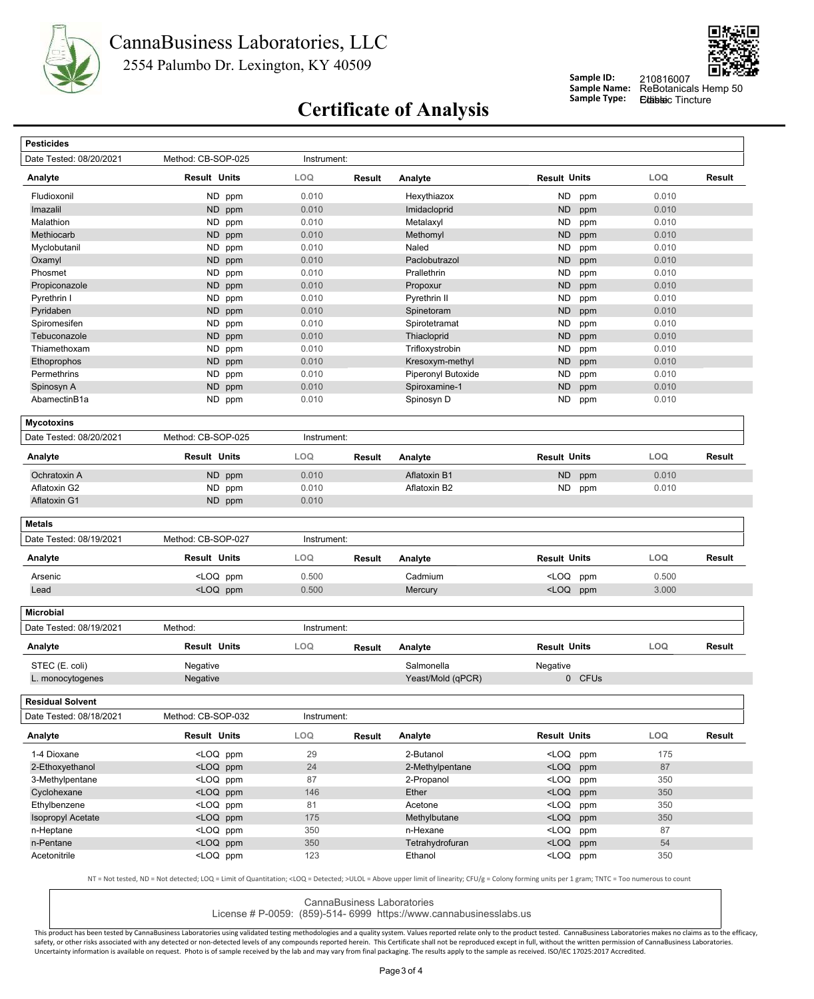



#### **Sample ID: Sample Name:**

ReBotanicals Hemp 50 210816007 Edablec Tincture

# **Certificate of Analysis** Sample Type:

| Date Tested: 08/20/2021                            | Method: CB-SOP-025                                                                                                                                                                                          | Instrument: |               |                             |                                                   |            |        |
|----------------------------------------------------|-------------------------------------------------------------------------------------------------------------------------------------------------------------------------------------------------------------|-------------|---------------|-----------------------------|---------------------------------------------------|------------|--------|
| Analyte                                            | Result Units                                                                                                                                                                                                | LOQ         | Result        | Analyte                     | <b>Result Units</b>                               | LOQ        | Result |
| Fludioxonil                                        | ND ppm                                                                                                                                                                                                      | 0.010       |               | Hexythiazox                 | <b>ND</b><br>ppm                                  | 0.010      |        |
| Imazalil                                           | ND ppm                                                                                                                                                                                                      | 0.010       |               | Imidacloprid                | <b>ND</b><br>ppm                                  | 0.010      |        |
| Malathion                                          | ND ppm                                                                                                                                                                                                      | 0.010       |               | Metalaxyl                   | <b>ND</b><br>ppm                                  | 0.010      |        |
| Methiocarb                                         | <b>ND</b><br>ppm                                                                                                                                                                                            | 0.010       |               | Methomyl                    | <b>ND</b><br>ppm                                  | 0.010      |        |
| Myclobutanil                                       | ND ppm                                                                                                                                                                                                      | 0.010       |               | Naled                       | <b>ND</b><br>ppm                                  | 0.010      |        |
| Oxamyl                                             | ND ppm                                                                                                                                                                                                      | 0.010       |               | Paclobutrazol               | <b>ND</b><br>ppm                                  | 0.010      |        |
| Phosmet                                            | ND<br>ppm                                                                                                                                                                                                   | 0.010       |               | Prallethrin                 | <b>ND</b><br>ppm                                  | 0.010      |        |
| Propiconazole                                      | ND ppm                                                                                                                                                                                                      | 0.010       |               | Propoxur                    | <b>ND</b><br>ppm                                  | 0.010      |        |
| Pyrethrin I                                        | ND ppm                                                                                                                                                                                                      | 0.010       |               | Pyrethrin II                | <b>ND</b><br>ppm                                  | 0.010      |        |
| Pyridaben                                          | ND<br>ppm                                                                                                                                                                                                   | 0.010       |               | Spinetoram                  | <b>ND</b><br>ppm                                  | 0.010      |        |
| Spiromesifen                                       | ND ppm                                                                                                                                                                                                      | 0.010       |               | Spirotetramat               | <b>ND</b><br>ppm                                  | 0.010      |        |
| Tebuconazole                                       | ND<br>ppm                                                                                                                                                                                                   | 0.010       |               | Thiacloprid                 | <b>ND</b><br>ppm                                  | 0.010      |        |
| Thiamethoxam                                       | ND<br>ppm                                                                                                                                                                                                   | 0.010       |               | Trifloxystrobin             | ND<br>ppm                                         | 0.010      |        |
| Ethoprophos                                        | ND ppm                                                                                                                                                                                                      | 0.010       |               | Kresoxym-methyl             | <b>ND</b><br>ppm                                  | 0.010      |        |
| Permethrins                                        | ND.<br>ppm                                                                                                                                                                                                  | 0.010       |               | Piperonyl Butoxide          | <b>ND</b><br>ppm                                  | 0.010      |        |
| Spinosyn A                                         | ND.<br>ppm                                                                                                                                                                                                  | 0.010       |               | Spiroxamine-1               | <b>ND</b><br>ppm                                  | 0.010      |        |
| AbamectinB1a                                       | ND ppm                                                                                                                                                                                                      | 0.010       |               | Spinosyn D                  | ND                                                | 0.010      |        |
|                                                    |                                                                                                                                                                                                             |             |               |                             | ppm                                               |            |        |
| <b>Mycotoxins</b>                                  |                                                                                                                                                                                                             |             |               |                             |                                                   |            |        |
| Date Tested: 08/20/2021                            | Method: CB-SOP-025                                                                                                                                                                                          | Instrument: |               |                             |                                                   |            |        |
| Analyte                                            | <b>Result Units</b>                                                                                                                                                                                         | LOQ         | <b>Result</b> | Analyte                     | <b>Result Units</b>                               | LOQ        | Result |
| Ochratoxin A                                       | ND ppm                                                                                                                                                                                                      | 0.010       |               | Aflatoxin B1                | <b>ND</b><br>ppm                                  | 0.010      |        |
| Aflatoxin G2                                       | ND ppm                                                                                                                                                                                                      | 0.010       |               | Aflatoxin B2                | ND<br>ppm                                         | 0.010      |        |
| Aflatoxin G1                                       | ND ppm                                                                                                                                                                                                      | 0.010       |               |                             |                                                   |            |        |
| <b>Metals</b>                                      |                                                                                                                                                                                                             |             |               |                             |                                                   |            |        |
| Date Tested: 08/19/2021                            | Method: CB-SOP-027                                                                                                                                                                                          | Instrument: |               |                             |                                                   |            |        |
| Analyte                                            | Result Units                                                                                                                                                                                                | <b>LOQ</b>  | Result        | Analyte                     | <b>Result Units</b>                               | <b>LOQ</b> | Result |
| Arsenic                                            | <loq ppm<="" td=""><td>0.500</td><td></td><td>Cadmium</td><td><loq<br>ppm</loq<br></td><td>0.500</td><td></td></loq>                                                                                        | 0.500       |               | Cadmium                     | <loq<br>ppm</loq<br>                              | 0.500      |        |
| Lead                                               | <loq ppm<="" td=""><td>0.500</td><td></td><td>Mercury</td><td><loq ppm<="" td=""><td>3.000</td><td></td></loq></td></loq>                                                                                   | 0.500       |               | Mercury                     | <loq ppm<="" td=""><td>3.000</td><td></td></loq>  | 3.000      |        |
| <b>Microbial</b>                                   |                                                                                                                                                                                                             |             |               |                             |                                                   |            |        |
| Date Tested: 08/19/2021                            | Method:                                                                                                                                                                                                     | Instrument: |               |                             |                                                   |            |        |
| Analyte                                            | <b>Result Units</b>                                                                                                                                                                                         | <b>LOQ</b>  | Result        | Analyte                     | <b>Result Units</b>                               | LOQ        | Result |
| STEC (E. coli)                                     | Negative                                                                                                                                                                                                    |             |               | Salmonella                  | Negative                                          |            |        |
|                                                    |                                                                                                                                                                                                             |             |               |                             |                                                   |            |        |
| L. monocytogenes                                   | Negative                                                                                                                                                                                                    |             |               | Yeast/Mold (qPCR)           | 0 CFUs                                            |            |        |
|                                                    |                                                                                                                                                                                                             |             |               |                             |                                                   |            |        |
| <b>Residual Solvent</b><br>Date Tested: 08/18/2021 | Method: CB-SOP-032                                                                                                                                                                                          | Instrument: |               |                             |                                                   |            |        |
|                                                    | <b>Result Units</b>                                                                                                                                                                                         | LOQ         | Result        | Analyte                     | <b>Result Units</b>                               | LOQ        |        |
| 1-4 Dioxane                                        | <loq ppm<="" td=""><td>29</td><td></td><td>2-Butanol</td><td><loq ppm<="" td=""><td>175</td><td></td></loq></td></loq>                                                                                      | 29          |               | 2-Butanol                   | <loq ppm<="" td=""><td>175</td><td></td></loq>    | 175        |        |
|                                                    | <loq ppm<="" td=""><td>24</td><td></td><td>2-Methylpentane</td><td><math>&lt;</math>LOQ<br/>ppm</td><td>87</td><td></td></loq>                                                                              | 24          |               | 2-Methylpentane             | $<$ LOQ<br>ppm                                    | 87         |        |
| 3-Methylpentane                                    | <loq ppm<="" td=""><td>87</td><td></td><td>2-Propanol</td><td><loq ppm<="" td=""><td>350</td><td></td></loq></td></loq>                                                                                     | 87          |               | 2-Propanol                  | <loq ppm<="" td=""><td>350</td><td></td></loq>    | 350        |        |
|                                                    |                                                                                                                                                                                                             |             |               |                             |                                                   | 350        |        |
| Cyclohexane                                        | <loq ppm<="" td=""><td>146</td><td></td><td>Ether</td><td><loq ppm<="" td=""><td></td><td></td></loq></td></loq>                                                                                            | 146         |               | Ether                       | <loq ppm<="" td=""><td></td><td></td></loq>       |            |        |
| 2-Ethoxyethanol<br>Ethylbenzene                    | <loq ppm<="" td=""><td>81</td><td></td><td>Acetone</td><td><math>&lt;</math>LOQ<br/>ppm</td><td>350</td><td></td></loq>                                                                                     | 81          |               | Acetone                     | $<$ LOQ<br>ppm                                    | 350        |        |
| <b>Isopropyl Acetate</b>                           | <loq ppm<="" td=""><td>175</td><td></td><td>Methylbutane</td><td><loq ppm<="" td=""><td>350</td><td></td></loq></td></loq>                                                                                  | 175         |               | Methylbutane                | <loq ppm<="" td=""><td>350</td><td></td></loq>    | 350        |        |
| Analyte<br>n-Heptane<br>n-Pentane                  | <loq ppm<br=""><loq ppm<="" td=""><td>350<br/>350</td><td></td><td>n-Hexane<br/>Tetrahydrofuran</td><td><loq ppm<br=""><math>&lt;</math>LOQ<br/>ppm</loq></td><td>87<br/>54</td><td>Result</td></loq></loq> | 350<br>350  |               | n-Hexane<br>Tetrahydrofuran | <loq ppm<br=""><math>&lt;</math>LOQ<br/>ppm</loq> | 87<br>54   | Result |

CannaBusiness Laboratories

License # P-0059: (859)-514- 6999 https://www.cannabusinesslabs.us

This product has been tested by CannaBusiness Laboratories using validated testing methodologies and a quality system. Values reported relate only to the product tested. CannaBusiness Laboratories makes no claims as to the safety, or other risks associated with any detected or non-detected levels of any compounds reported herein. This Certificate shall not be reproduced except in full, without the written permission of CannaBusiness Laborato Uncertainty information is available on request. Photo is of sample received by the lab and may vary from final packaging. The results apply to the sample as received. ISO/IEC 17025:2017 Accredited.